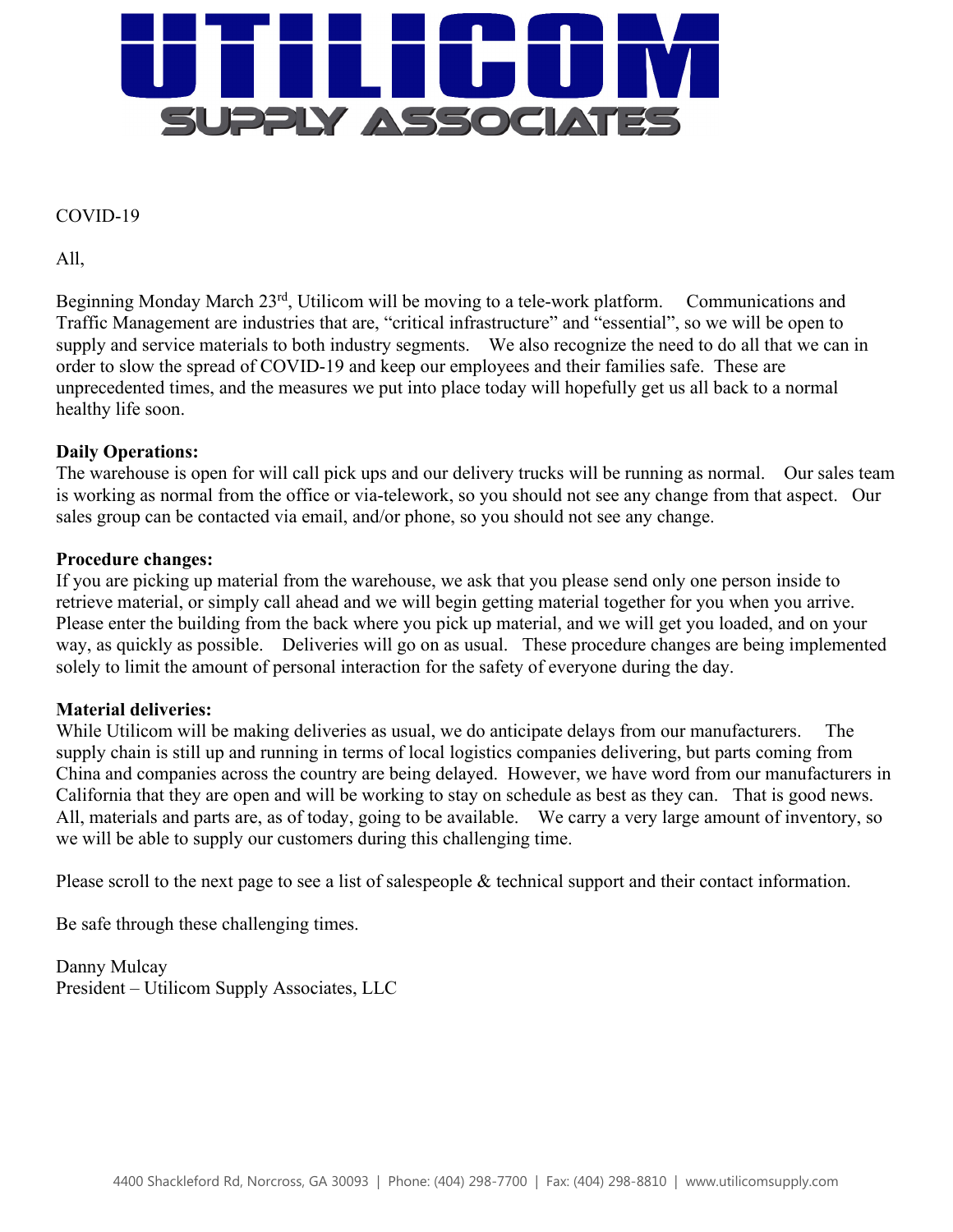

## COVID-19

All,

Beginning Monday March 23<sup>rd</sup>, Utilicom will be moving to a tele-work platform. Communications and Traffic Management are industries that are, "critical infrastructure" and "essential", so we will be open to supply and service materials to both industry segments. We also recognize the need to do all that we can in order to slow the spread of COVID-19 and keep our employees and their families safe. These are unprecedented times, and the measures we put into place today will hopefully get us all back to a normal healthy life soon.

## **Daily Operations:**

The warehouse is open for will call pick ups and our delivery trucks will be running as normal. Our sales team is working as normal from the office or via-telework, so you should not see any change from that aspect. Our sales group can be contacted via email, and/or phone, so you should not see any change.

## **Procedure changes:**

If you are picking up material from the warehouse, we ask that you please send only one person inside to retrieve material, or simply call ahead and we will begin getting material together for you when you arrive. Please enter the building from the back where you pick up material, and we will get you loaded, and on your way, as quickly as possible. Deliveries will go on as usual. These procedure changes are being implemented solely to limit the amount of personal interaction for the safety of everyone during the day.

## **Material deliveries:**

While Utilicom will be making deliveries as usual, we do anticipate delays from our manufacturers. The supply chain is still up and running in terms of local logistics companies delivering, but parts coming from China and companies across the country are being delayed. However, we have word from our manufacturers in California that they are open and will be working to stay on schedule as best as they can. That is good news. All, materials and parts are, as of today, going to be available. We carry a very large amount of inventory, so we will be able to supply our customers during this challenging time.

Please scroll to the next page to see a list of salespeople & technical support and their contact information.

Be safe through these challenging times.

Danny Mulcay President – Utilicom Supply Associates, LLC